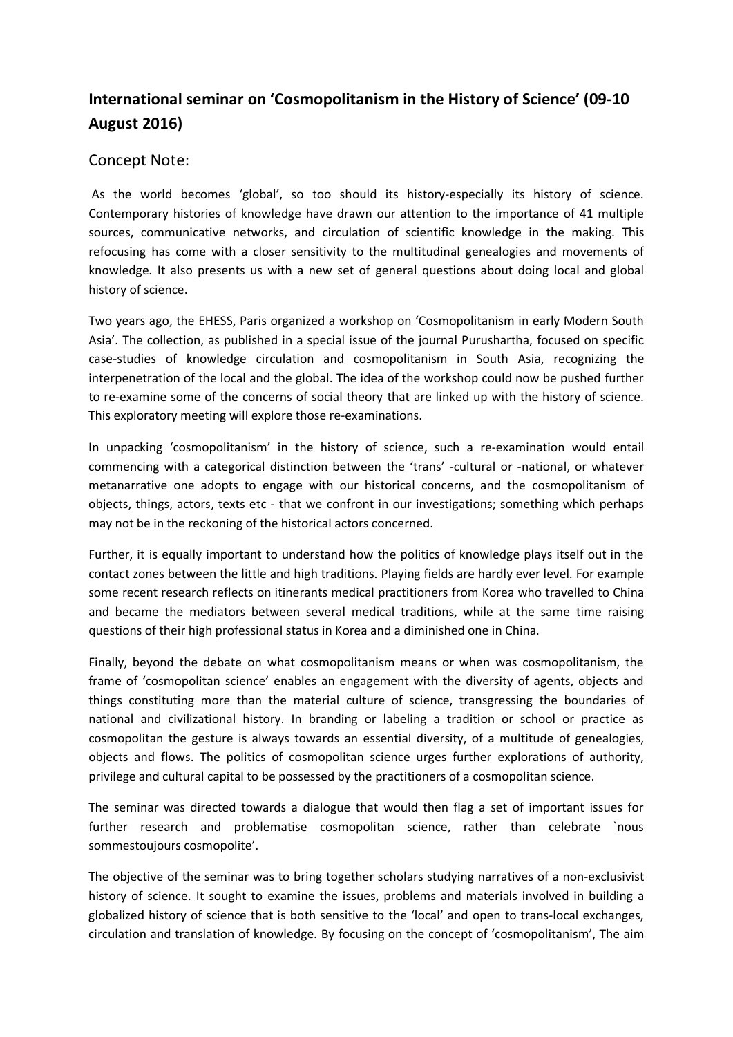## **International seminar on 'Cosmopolitanism in the History of Science' (09-10 August 2016)**

## Concept Note:

As the world becomes 'global', so too should its history-especially its history of science. Contemporary histories of knowledge have drawn our attention to the importance of 41 multiple sources, communicative networks, and circulation of scientific knowledge in the making. This refocusing has come with a closer sensitivity to the multitudinal genealogies and movements of knowledge. It also presents us with a new set of general questions about doing local and global history of science.

Two years ago, the EHESS, Paris organized a workshop on 'Cosmopolitanism in early Modern South Asia'. The collection, as published in a special issue of the journal Purushartha, focused on specific case-studies of knowledge circulation and cosmopolitanism in South Asia, recognizing the interpenetration of the local and the global. The idea of the workshop could now be pushed further to re-examine some of the concerns of social theory that are linked up with the history of science. This exploratory meeting will explore those re-examinations.

In unpacking 'cosmopolitanism' in the history of science, such a re-examination would entail commencing with a categorical distinction between the 'trans' -cultural or -national, or whatever metanarrative one adopts to engage with our historical concerns, and the cosmopolitanism of objects, things, actors, texts etc - that we confront in our investigations; something which perhaps may not be in the reckoning of the historical actors concerned.

Further, it is equally important to understand how the politics of knowledge plays itself out in the contact zones between the little and high traditions. Playing fields are hardly ever level. For example some recent research reflects on itinerants medical practitioners from Korea who travelled to China and became the mediators between several medical traditions, while at the same time raising questions of their high professional status in Korea and a diminished one in China.

Finally, beyond the debate on what cosmopolitanism means or when was cosmopolitanism, the frame of 'cosmopolitan science' enables an engagement with the diversity of agents, objects and things constituting more than the material culture of science, transgressing the boundaries of national and civilizational history. In branding or labeling a tradition or school or practice as cosmopolitan the gesture is always towards an essential diversity, of a multitude of genealogies, objects and flows. The politics of cosmopolitan science urges further explorations of authority, privilege and cultural capital to be possessed by the practitioners of a cosmopolitan science.

The seminar was directed towards a dialogue that would then flag a set of important issues for further research and problematise cosmopolitan science, rather than celebrate `nous sommestoujours cosmopolite'.

The objective of the seminar was to bring together scholars studying narratives of a non-exclusivist history of science. It sought to examine the issues, problems and materials involved in building a globalized history of science that is both sensitive to the 'local' and open to trans-local exchanges, circulation and translation of knowledge. By focusing on the concept of 'cosmopolitanism', The aim